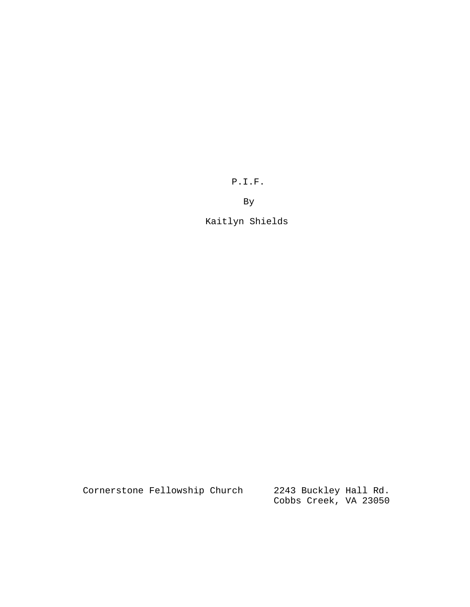P.I.F.

By

Kaitlyn Shields

| Cornerstone Fellowship Church |  | 2243 Buckley Hall Rd. |  |
|-------------------------------|--|-----------------------|--|
|                               |  | Cobbs Creek, VA 23050 |  |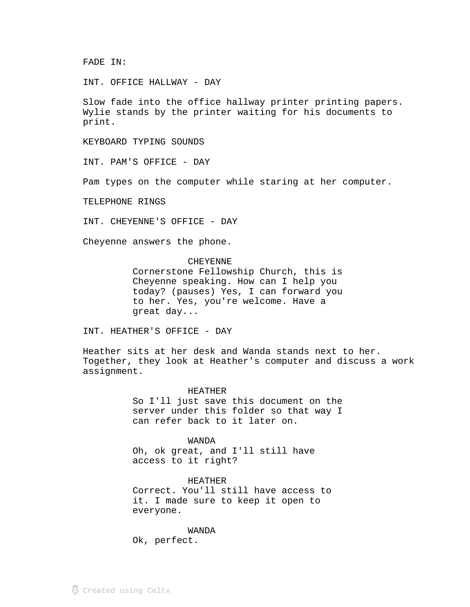FADE IN:

INT. OFFICE HALLWAY - DAY

Slow fade into the office hallway printer printing papers. Wylie stands by the printer waiting for his documents to print.

KEYBOARD TYPING SOUNDS

INT. PAM'S OFFICE - DAY

Pam types on the computer while staring at her computer.

TELEPHONE RINGS

INT. CHEYENNE'S OFFICE - DAY

Cheyenne answers the phone.

CHEYENNE

Cornerstone Fellowship Church, this is Cheyenne speaking. How can I help you today? (pauses) Yes, I can forward you to her. Yes, you're welcome. Have a great day...

INT. HEATHER'S OFFICE - DAY

Heather sits at her desk and Wanda stands next to her. Together, they look at Heather's computer and discuss a work assignment.

## HEATHER

So I'll just save this document on the server under this folder so that way I can refer back to it later on.

WANDA

Oh, ok great, and I'll still have access to it right?

HEATHER

Correct. You'll still have access to it. I made sure to keep it open to everyone.

WANDA Ok, perfect.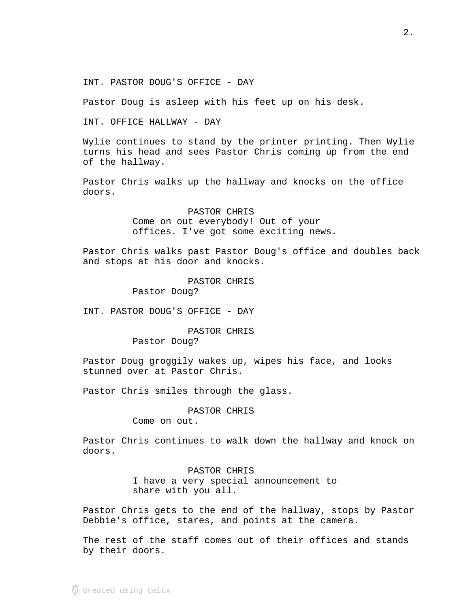INT. PASTOR DOUG'S OFFICE - DAY

Pastor Doug is asleep with his feet up on his desk.

INT. OFFICE HALLWAY - DAY

Wylie continues to stand by the printer printing. Then Wylie turns his head and sees Pastor Chris coming up from the end of the hallway.

Pastor Chris walks up the hallway and knocks on the office doors.

> PASTOR CHRIS Come on out everybody! Out of your offices. I've got some exciting news.

Pastor Chris walks past Pastor Doug's office and doubles back and stops at his door and knocks.

> PASTOR CHRIS Pastor Doug?

INT. PASTOR DOUG'S OFFICE - DAY

PASTOR CHRIS Pastor Doug?

Pastor Doug groggily wakes up, wipes his face, and looks stunned over at Pastor Chris.

Pastor Chris smiles through the glass.

PASTOR CHRIS

Come on out.

Pastor Chris continues to walk down the hallway and knock on doors.

> PASTOR CHRIS I have a very special announcement to share with you all.

Pastor Chris gets to the end of the hallway, stops by Pastor Debbie's office, stares, and points at the camera.

The rest of the staff comes out of their offices and stands by their doors.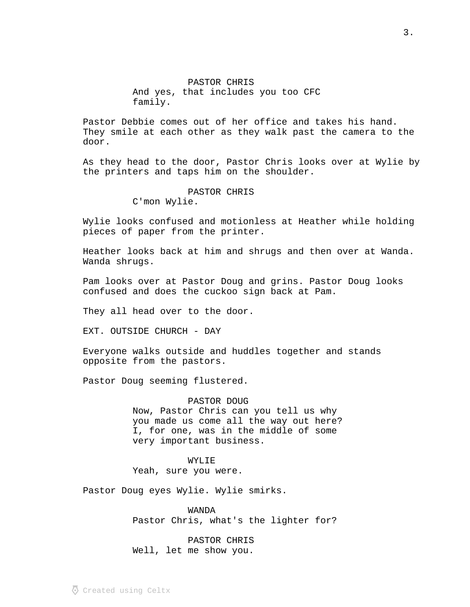PASTOR CHRIS And yes, that includes you too CFC family.

Pastor Debbie comes out of her office and takes his hand. They smile at each other as they walk past the camera to the door.

As they head to the door, Pastor Chris looks over at Wylie by the printers and taps him on the shoulder.

> PASTOR CHRIS C'mon Wylie.

Wylie looks confused and motionless at Heather while holding pieces of paper from the printer.

Heather looks back at him and shrugs and then over at Wanda. Wanda shrugs.

Pam looks over at Pastor Doug and grins. Pastor Doug looks confused and does the cuckoo sign back at Pam.

They all head over to the door.

EXT. OUTSIDE CHURCH - DAY

Everyone walks outside and huddles together and stands opposite from the pastors.

Pastor Doug seeming flustered.

PASTOR DOUG Now, Pastor Chris can you tell us why you made us come all the way out here? I, for one, was in the middle of some very important business.

WYLIE Yeah, sure you were.

Pastor Doug eyes Wylie. Wylie smirks.

WANDA Pastor Chris, what's the lighter for?

PASTOR CHRIS Well, let me show you.